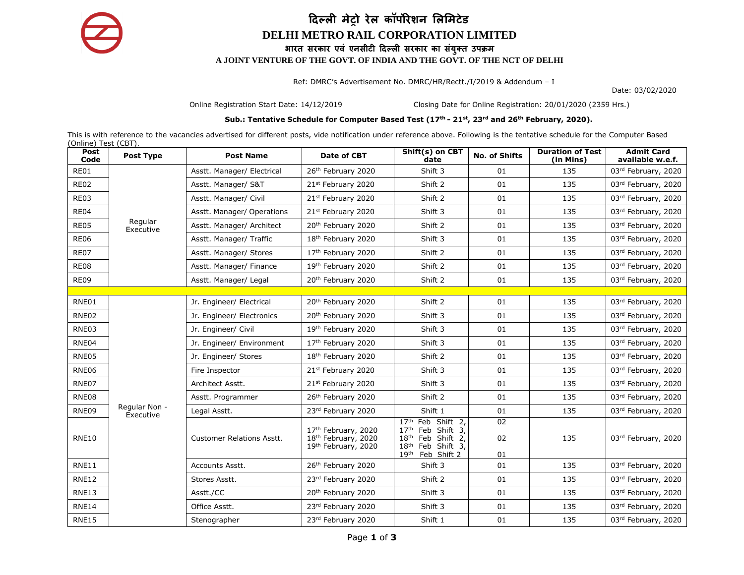## **दिल्ली मेट्रो रेल कॉर्पोरेशन लललमटेड DELHI METRO RAIL CORPORATION LIMITED भारत सरकार एवं एनसीटी दिल्ली सरकार का संयुक्त उर्पक्रम**

**A JOINT VENTURE OF THE GOVT. OF INDIA AND THE GOVT. OF THE NCT OF DELHI**

Ref: DMRC's Advertisement No. DMRC/HR/Rectt./I/2019 & Addendum – I

Date: 03/02/2020

Online Registration Start Date: 14/12/2019 Closing Date for Online Registration: 20/01/2020 (2359 Hrs.)

#### **Sub.: Tentative Schedule for Computer Based Test (17th - 21st, 23rd and 26th February, 2020).**

This is with reference to the vacancies advertised for different posts, vide notification under reference above. Following is the tentative schedule for the Computer Based (Online) Test (CBT).

| Post<br>Code | Post Type                  | <b>Post Name</b>                 | Date of CBT                                                       | Shift(s) on CBT<br>date                                                                                                                                                         | <b>No. of Shifts</b> | <b>Duration of Test</b><br>(in Mins) | <b>Admit Card</b><br>available w.e.f. |
|--------------|----------------------------|----------------------------------|-------------------------------------------------------------------|---------------------------------------------------------------------------------------------------------------------------------------------------------------------------------|----------------------|--------------------------------------|---------------------------------------|
| RE01         | Regular<br>Executive       | Asstt. Manager/ Electrical       | 26th February 2020                                                | Shift 3                                                                                                                                                                         | 01                   | 135                                  | 03rd February, 2020                   |
| <b>RE02</b>  |                            | Asstt. Manager/ S&T              | 21st February 2020                                                | Shift 2                                                                                                                                                                         | 01                   | 135                                  | 03rd February, 2020                   |
| <b>RE03</b>  |                            | Asstt. Manager/ Civil            | 21st February 2020                                                | Shift 2                                                                                                                                                                         | 01                   | 135                                  | 03rd February, 2020                   |
| RE04         |                            | Asstt. Manager/ Operations       | 21st February 2020                                                | Shift 3                                                                                                                                                                         | 01                   | 135                                  | 03rd February, 2020                   |
| <b>RE05</b>  |                            | Asstt. Manager/ Architect        | 20 <sup>th</sup> February 2020                                    | Shift 2                                                                                                                                                                         | 01                   | 135                                  | 03rd February, 2020                   |
| <b>RE06</b>  |                            | Asstt. Manager/ Traffic          | 18 <sup>th</sup> February 2020                                    | Shift 3                                                                                                                                                                         | 01                   | 135                                  | 03rd February, 2020                   |
| <b>RE07</b>  |                            | Asstt. Manager/ Stores           | 17th February 2020                                                | Shift 2                                                                                                                                                                         | 01                   | 135                                  | 03rd February, 2020                   |
| <b>RE08</b>  |                            | Asstt. Manager/ Finance          | 19th February 2020                                                | Shift 2                                                                                                                                                                         | 01                   | 135                                  | 03rd February, 2020                   |
| <b>RE09</b>  |                            | Asstt. Manager/ Legal            | 20 <sup>th</sup> February 2020                                    | Shift 2                                                                                                                                                                         | 01                   | 135                                  | 03rd February, 2020                   |
|              |                            |                                  |                                                                   |                                                                                                                                                                                 |                      |                                      |                                       |
| RNE01        |                            | Jr. Engineer/ Electrical         | 20 <sup>th</sup> February 2020                                    | Shift 2                                                                                                                                                                         | 01                   | 135                                  | 03rd February, 2020                   |
| RNE02        |                            | Jr. Engineer/ Electronics        | 20 <sup>th</sup> February 2020                                    | Shift 3                                                                                                                                                                         | 01                   | 135                                  | 03rd February, 2020                   |
| RNE03        |                            | Jr. Engineer/ Civil              | 19th February 2020                                                | Shift 3                                                                                                                                                                         | 01                   | 135                                  | 03rd February, 2020                   |
| RNE04        |                            | Jr. Engineer/ Environment        | 17 <sup>th</sup> February 2020                                    | Shift 3                                                                                                                                                                         | 01                   | 135                                  | 03rd February, 2020                   |
| RNE05        |                            | Jr. Engineer/ Stores             | 18th February 2020                                                | Shift 2                                                                                                                                                                         | 01                   | 135                                  | 03rd February, 2020                   |
| RNE06        |                            | Fire Inspector                   | 21st February 2020                                                | Shift 3                                                                                                                                                                         | 01                   | 135                                  | 03rd February, 2020                   |
| RNE07        |                            | Architect Asstt.                 | 21st February 2020                                                | Shift 3                                                                                                                                                                         | 01                   | 135                                  | 03rd February, 2020                   |
| RNE08        |                            | Asstt. Programmer                | 26th February 2020                                                | Shift 2                                                                                                                                                                         | 01                   | 135                                  | 03rd February, 2020                   |
| RNE09        | Regular Non -<br>Executive | Legal Asstt.                     | 23rd February 2020                                                | Shift 1                                                                                                                                                                         | 01                   | 135                                  | 03rd February, 2020                   |
| <b>RNE10</b> |                            | <b>Customer Relations Asstt.</b> | 17th February, 2020<br>18th February, 2020<br>19th February, 2020 | 17 <sup>th</sup><br>Feb Shift 2,<br>17 <sup>th</sup><br>Feb Shift 3,<br>18 <sup>th</sup><br>Feb Shift 2,<br>Feb Shift 3,<br>18 <sup>th</sup><br>19 <sup>th</sup><br>Feb Shift 2 | 02<br>02<br>01       | 135                                  | 03rd February, 2020                   |
| RNE11        |                            | Accounts Asstt.                  | 26 <sup>th</sup> February 2020                                    | Shift 3                                                                                                                                                                         | 01                   | 135                                  | 03rd February, 2020                   |
| <b>RNE12</b> |                            | Stores Asstt.                    | 23rd February 2020                                                | Shift 2                                                                                                                                                                         | 01                   | 135                                  | 03rd February, 2020                   |
| RNE13        |                            | Asstt./CC                        | 20th February 2020                                                | Shift 3                                                                                                                                                                         | 01                   | 135                                  | 03rd February, 2020                   |
| <b>RNE14</b> |                            | Office Asstt.                    | 23rd February 2020                                                | Shift 3                                                                                                                                                                         | 01                   | 135                                  | 03rd February, 2020                   |
| <b>RNE15</b> |                            | Stenographer                     | 23rd February 2020                                                | Shift 1                                                                                                                                                                         | 01                   | 135                                  | 03rd February, 2020                   |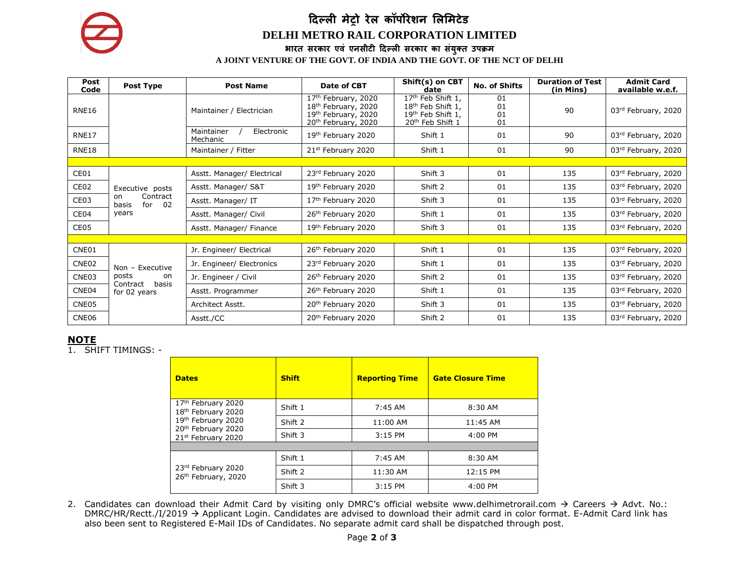

# **दिल्ली मेट्रो रेल कॉर्पोरेशन लललमटेड DELHI METRO RAIL CORPORATION LIMITED**

**भारत सरकार एवं एनसीटी दिल्ली सरकार का संयुक्त उर्पक्रम A JOINT VENTURE OF THE GOVT. OF INDIA AND THE GOVT. OF THE NCT OF DELHI**

| Post<br>Code      | Post Type                                                           | <b>Post Name</b>                     | Date of CBT                                                                                                                  | Shift(s) on CBT<br>date                                                                                                         | <b>No. of Shifts</b> | <b>Duration of Test</b><br>(in Mins) | <b>Admit Card</b><br>available w.e.f. |
|-------------------|---------------------------------------------------------------------|--------------------------------------|------------------------------------------------------------------------------------------------------------------------------|---------------------------------------------------------------------------------------------------------------------------------|----------------------|--------------------------------------|---------------------------------------|
| RNE16             |                                                                     | Maintainer / Electrician             | 17 <sup>th</sup> February, 2020<br>18 <sup>th</sup> February, 2020<br>19th February, 2020<br>20 <sup>th</sup> February, 2020 | 17 <sup>th</sup> Feb Shift 1,<br>18 <sup>th</sup> Feb Shift 1,<br>19 <sup>th</sup> Feb Shift 1,<br>20 <sup>th</sup> Feb Shift 1 | 01<br>01<br>01<br>01 | 90                                   | 03rd February, 2020                   |
| <b>RNE17</b>      |                                                                     | Electronic<br>Maintainer<br>Mechanic | 19th February 2020                                                                                                           | Shift 1                                                                                                                         | 01                   | 90                                   | 03rd February, 2020                   |
| RNE <sub>18</sub> |                                                                     | Maintainer / Fitter                  | 21st February 2020                                                                                                           | Shift 1                                                                                                                         | 01                   | 90                                   | 03rd February, 2020                   |
|                   |                                                                     |                                      |                                                                                                                              |                                                                                                                                 |                      |                                      |                                       |
| CE01              | Executive posts<br>Contract<br>on<br>for<br>02<br>basis<br>years    | Asstt. Manager/ Electrical           | 23rd February 2020                                                                                                           | Shift 3                                                                                                                         | 01                   | 135                                  | 03rd February, 2020                   |
| CE <sub>02</sub>  |                                                                     | Asstt. Manager/ S&T                  | 19th February 2020                                                                                                           | Shift 2                                                                                                                         | 01                   | 135                                  | 03rd February, 2020                   |
| CE <sub>03</sub>  |                                                                     | Asstt. Manager/ IT                   | 17 <sup>th</sup> February 2020                                                                                               | Shift 3                                                                                                                         | 01                   | 135                                  | 03rd February, 2020                   |
| CE04              |                                                                     | Asstt. Manager/ Civil                | 26 <sup>th</sup> February 2020                                                                                               | Shift 1                                                                                                                         | 01                   | 135                                  | 03rd February, 2020                   |
| CE05              |                                                                     | Asstt. Manager/ Finance              | 19th February 2020                                                                                                           | Shift 3                                                                                                                         | 01                   | 135                                  | 03rd February, 2020                   |
|                   |                                                                     |                                      |                                                                                                                              |                                                                                                                                 |                      |                                      |                                       |
| CNE01             | Non - Executive<br>posts<br>on<br>basis<br>Contract<br>for 02 years | Jr. Engineer/ Electrical             | 26 <sup>th</sup> February 2020                                                                                               | Shift 1                                                                                                                         | 01                   | 135                                  | 03rd February, 2020                   |
| CNE02             |                                                                     | Jr. Engineer/ Electronics            | 23rd February 2020                                                                                                           | Shift 1                                                                                                                         | 01                   | 135                                  | 03rd February, 2020                   |
| CNE03             |                                                                     | Jr. Engineer / Civil                 | 26 <sup>th</sup> February 2020                                                                                               | Shift 2                                                                                                                         | 01                   | 135                                  | 03rd February, 2020                   |
| CNE04             |                                                                     | Asstt. Programmer                    | 26th February 2020                                                                                                           | Shift 1                                                                                                                         | 01                   | 135                                  | 03rd February, 2020                   |
| CNE05             |                                                                     | Architect Asstt.                     | 20 <sup>th</sup> February 2020                                                                                               | Shift 3                                                                                                                         | 01                   | 135                                  | 03rd February, 2020                   |
| CNE06             |                                                                     | Asstt./CC                            | 20 <sup>th</sup> February 2020                                                                                               | Shift 2                                                                                                                         | 01                   | 135                                  | 03rd February, 2020                   |

### **NOTE**

1. SHIFT TIMINGS: -

| <b>Dates</b>                                          | <b>Shift</b> | <b>Reporting Time</b> | <b>Gate Closure Time</b> |  |  |  |
|-------------------------------------------------------|--------------|-----------------------|--------------------------|--|--|--|
| 17th February 2020<br>18th February 2020              | Shift 1      | 7:45 AM               | $8:30$ AM                |  |  |  |
| 19th February 2020<br>20 <sup>th</sup> February 2020  | Shift 2      | 11:00 AM              | 11:45 AM                 |  |  |  |
| 21 <sup>st</sup> February 2020                        | Shift 3      | $3:15$ PM             | 4:00 PM                  |  |  |  |
|                                                       |              |                       |                          |  |  |  |
|                                                       | Shift 1      | 7:45 AM               | $8:30$ AM                |  |  |  |
| 23rd February 2020<br>26 <sup>th</sup> February, 2020 | Shift 2      | 11:30 AM              | 12:15 PM                 |  |  |  |
|                                                       | Shift 3      | 3:15 PM               | $4:00$ PM                |  |  |  |

2. Candidates can download their Admit Card by visiting only DMRC's official website [www.delhimetrorail.com](http://www.delhimetrorail.com/)  $\rightarrow$  Careers  $\rightarrow$  Advt. No.: DMRC/HR/Rectt./I/2019 → Applicant Login. Candidates are advised to download their admit card in color format. E-Admit Card link has also been sent to Registered E-Mail IDs of Candidates. No separate admit card shall be dispatched through post.